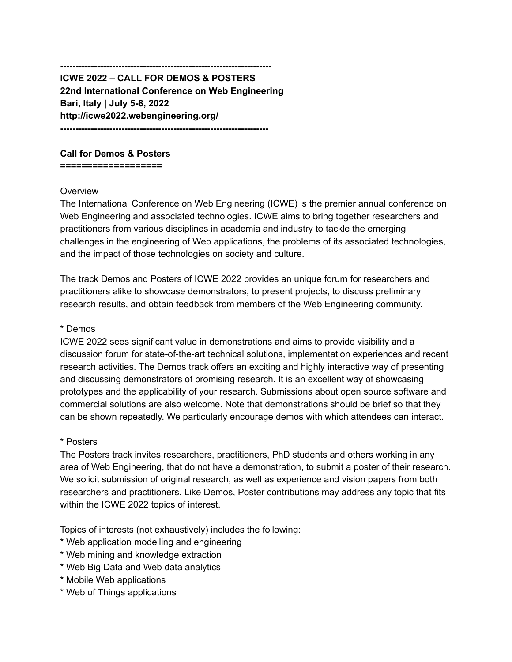**--------------------------------------------------------------------- ICWE 2022 – CALL FOR DEMOS & POSTERS 22nd International Conference on Web Engineering Bari, Italy | July 5-8, 2022 http://icwe2022.webengineering.org/ --------------------------------------------------------------------**

## **Call for Demos & Posters**

**===================**

#### **Overview**

The International Conference on Web Engineering (ICWE) is the premier annual conference on Web Engineering and associated technologies. ICWE aims to bring together researchers and practitioners from various disciplines in academia and industry to tackle the emerging challenges in the engineering of Web applications, the problems of its associated technologies, and the impact of those technologies on society and culture.

The track Demos and Posters of ICWE 2022 provides an unique forum for researchers and practitioners alike to showcase demonstrators, to present projects, to discuss preliminary research results, and obtain feedback from members of the Web Engineering community.

#### \* Demos

ICWE 2022 sees significant value in demonstrations and aims to provide visibility and a discussion forum for state-of-the-art technical solutions, implementation experiences and recent research activities. The Demos track offers an exciting and highly interactive way of presenting and discussing demonstrators of promising research. It is an excellent way of showcasing prototypes and the applicability of your research. Submissions about open source software and commercial solutions are also welcome. Note that demonstrations should be brief so that they can be shown repeatedly. We particularly encourage demos with which attendees can interact.

### \* Posters

The Posters track invites researchers, practitioners, PhD students and others working in any area of Web Engineering, that do not have a demonstration, to submit a poster of their research. We solicit submission of original research, as well as experience and vision papers from both researchers and practitioners. Like Demos, Poster contributions may address any topic that fits within the ICWE 2022 topics of interest.

Topics of interests (not exhaustively) includes the following:

- \* Web application modelling and engineering
- \* Web mining and knowledge extraction
- \* Web Big Data and Web data analytics
- \* Mobile Web applications
- \* Web of Things applications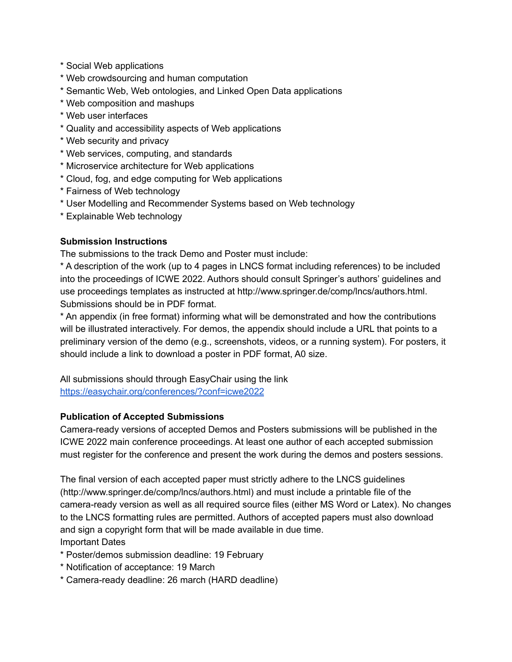- \* Social Web applications
- \* Web crowdsourcing and human computation
- \* Semantic Web, Web ontologies, and Linked Open Data applications
- \* Web composition and mashups
- \* Web user interfaces
- \* Quality and accessibility aspects of Web applications
- \* Web security and privacy
- \* Web services, computing, and standards
- \* Microservice architecture for Web applications
- \* Cloud, fog, and edge computing for Web applications
- \* Fairness of Web technology
- \* User Modelling and Recommender Systems based on Web technology
- \* Explainable Web technology

## **Submission Instructions**

The submissions to the track Demo and Poster must include:

\* A description of the work (up to 4 pages in LNCS format including references) to be included into the proceedings of ICWE 2022. Authors should consult Springer's authors' guidelines and use proceedings templates as instructed at http://www.springer.de/comp/lncs/authors.html. Submissions should be in PDF format.

\* An appendix (in free format) informing what will be demonstrated and how the contributions will be illustrated interactively. For demos, the appendix should include a URL that points to a preliminary version of the demo (e.g., screenshots, videos, or a running system). For posters, it should include a link to download a poster in PDF format, A0 size.

All submissions should through EasyChair using the link <https://easychair.org/conferences/?conf=icwe2022>

# **Publication of Accepted Submissions**

Camera-ready versions of accepted Demos and Posters submissions will be published in the ICWE 2022 main conference proceedings. At least one author of each accepted submission must register for the conference and present the work during the demos and posters sessions.

The final version of each accepted paper must strictly adhere to the LNCS guidelines (http://www.springer.de/comp/lncs/authors.html) and must include a printable file of the camera-ready version as well as all required source files (either MS Word or Latex). No changes to the LNCS formatting rules are permitted. Authors of accepted papers must also download and sign a copyright form that will be made available in due time. Important Dates

- \* Poster/demos submission deadline: 19 February
- \* Notification of acceptance: 19 March
- \* Camera-ready deadline: 26 march (HARD deadline)